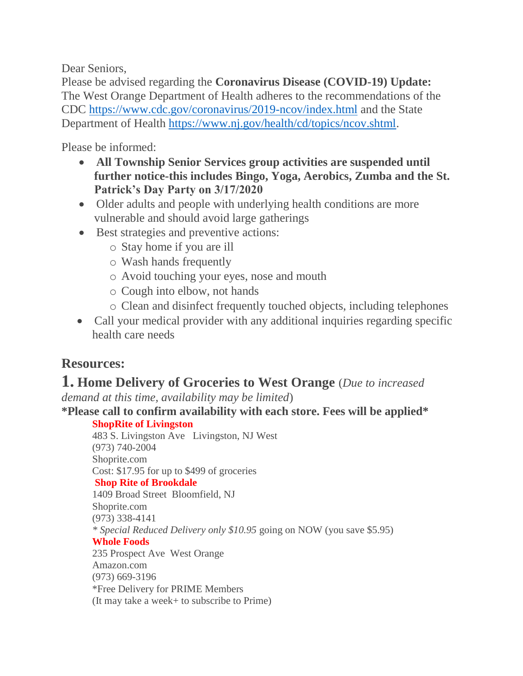Dear Seniors,

Please be advised regarding the **Coronavirus Disease (COVID-19) Update:** The West Orange Department of Health adheres to the recommendations of the CDC <https://www.cdc.gov/coronavirus/2019-ncov/index.html> and the State Department of Health [https://www.nj.gov/health/cd/topics/ncov.shtml.](https://www.nj.gov/health/cd/topics/ncov.shtml)

Please be informed:

- **All Township Senior Services group activities are suspended until further notice-this includes Bingo, Yoga, Aerobics, Zumba and the St. Patrick's Day Party on 3/17/2020**
- Older adults and people with underlying health conditions are more vulnerable and should avoid large gatherings
- Best strategies and preventive actions:
	- o Stay home if you are ill
	- o Wash hands frequently
	- o Avoid touching your eyes, nose and mouth
	- o Cough into elbow, not hands
	- o Clean and disinfect frequently touched objects, including telephones
- Call your medical provider with any additional inquiries regarding specific health care needs

# **Resources:**

# **1. Home Delivery of Groceries to West Orange** (*Due to increased*

*demand at this time, availability may be limited*)

**\*Please call to confirm availability with each store. Fees will be applied\***

**ShopRite of Livingston**

483 S. Livingston Ave Livingston, NJ West (973) 740-2004 Shoprite.com Cost: \$17.95 for up to \$499 of groceries **Shop Rite of Brookdale** 1409 Broad Street Bloomfield, NJ Shoprite.com (973) 338-4141 *\* Special Reduced Delivery only \$10.95* going on NOW (you save \$5.95) **Whole Foods**  235 Prospect Ave West Orange Amazon.com (973) 669-3196 \*Free Delivery for PRIME Members (It may take a week+ to subscribe to Prime)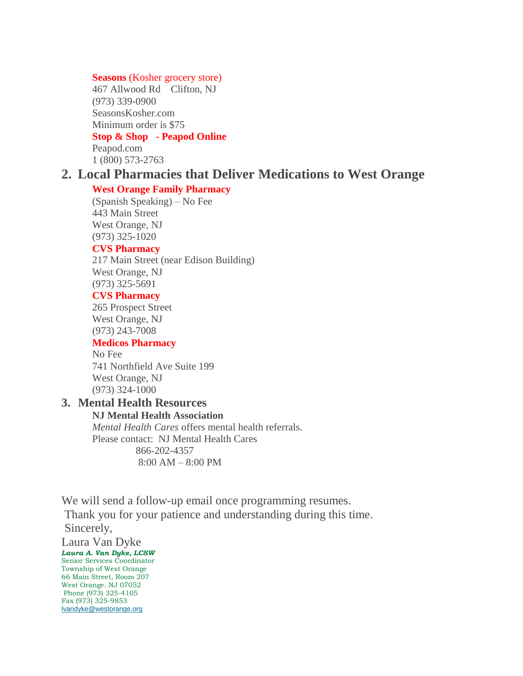#### **Seasons** (Kosher grocery store)

467 Allwood Rd Clifton, NJ (973) 339-0900 SeasonsKosher.com Minimum order is \$75

### **Stop & Shop - Peapod Online**

Peapod.com 1 (800) 573-2763

# **2. Local Pharmacies that Deliver Medications to West Orange**

#### **West Orange Family Pharmacy**

(Spanish Speaking) – No Fee 443 Main Street West Orange, NJ (973) 325-1020

#### **CVS Pharmacy**

217 Main Street (near Edison Building) West Orange, NJ (973) 325-5691

#### **CVS Pharmacy**

265 Prospect Street West Orange, NJ (973) 243-7008

## **Medicos Pharmacy**

No Fee 741 Northfield Ave Suite 199 West Orange, NJ (973) 324-1000

# **3. Mental Health Resources**

**NJ Mental Health Association** *Mental Health Cares* offers mental health referrals. Please contact: NJ Mental Health Cares 866-202-4357 8:00 AM – 8:00 PM

We will send a follow-up email once programming resumes. Thank you for your patience and understanding during this time. Sincerely,

Laura Van Dyke *Laura A. Van Dyke, LCSW* Senior Services Coordinator Township of West Orange 66 Main Street, Room 207 West Orange. NJ 07052 Phone (973) 325-4105 Fax (973) 325-9853 [lvandyke@westorange.org](mailto:lvandyke@westorange.org)